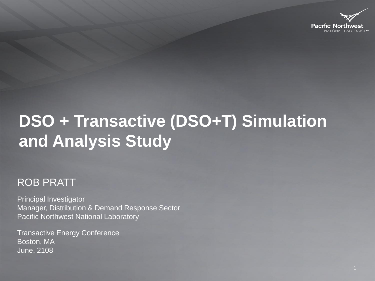

# **DSO + Transactive (DSO+T) Simulation and Analysis Study**

#### ROB PRATT

Principal Investigator Manager, Distribution & Demand Response Sector Pacific Northwest National Laboratory

Transactive Energy Conference Boston, MA June, 2108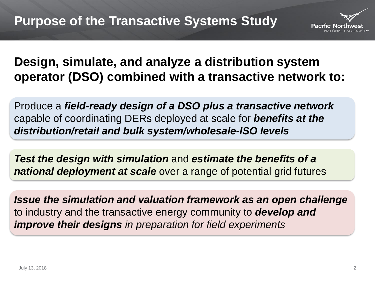

#### **Design, simulate, and analyze a distribution system operator (DSO) combined with a transactive network to:**

Produce a *field-ready design of a DSO plus a transactive network*  capable of coordinating DERs deployed at scale for *benefits at the distribution/retail and bulk system/wholesale-ISO levels*

*Test the design with simulation* and *estimate the benefits of a national deployment at scale* over a range of potential grid futures

*Issue the simulation and valuation framework as an open challenge*  to industry and the transactive energy community to *develop and improve their designs in preparation for field experiments*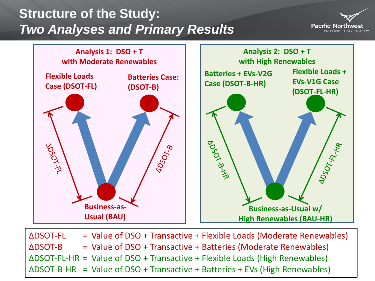### **Structure of the Study:**  *Two Analyses and Primary Results*





∆DSOT-FL = Value of DSO + Transactive + Flexible Loads (Moderate Renewables) ∆DSOT-B = Value of DSO + Transactive + Batteries (Moderate Renewables) ∆DSOT-FL-HR = Value of DSO + Transactive + Flexible Loads (High Renewables) ∆DSOT-B-HR = Value of DSO + Transactive + Batteries + EVs (High Renewables)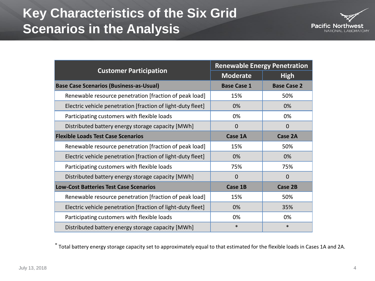### **Key Characteristics of the Six Grid Scenarios in the Analysis**



| <b>Customer Participation</b>                               | <b>Renewable Energy Penetration</b> |                    |
|-------------------------------------------------------------|-------------------------------------|--------------------|
|                                                             | <b>Moderate</b>                     | <b>High</b>        |
| <b>Base Case Scenarios (Business-as-Usual)</b>              | <b>Base Case 1</b>                  | <b>Base Case 2</b> |
| Renewable resource penetration [fraction of peak load]      | 15%                                 | 50%                |
| Electric vehicle penetration [fraction of light-duty fleet] | 0%                                  | 0%                 |
| Participating customers with flexible loads                 | 0%                                  | 0%                 |
| Distributed battery energy storage capacity [MWh]           | $\mathbf 0$                         | $\mathbf 0$        |
| <b>Flexible Loads Test Case Scenarios</b>                   | Case 1A                             | <b>Case 2A</b>     |
| Renewable resource penetration [fraction of peak load]      | 15%                                 | 50%                |
| Electric vehicle penetration [fraction of light-duty fleet] | 0%                                  | 0%                 |
| Participating customers with flexible loads                 | 75%                                 | 75%                |
| Distributed battery energy storage capacity [MWh]           | $\mathbf 0$                         | $\mathbf 0$        |
| <b>Low-Cost Batteries Test Case Scenarios</b>               | Case 1B                             | Case 2B            |
| Renewable resource penetration [fraction of peak load]      | 15%                                 | 50%                |
| Electric vehicle penetration [fraction of light-duty fleet] | 0%                                  | 35%                |
| Participating customers with flexible loads                 | 0%                                  | 0%                 |
| Distributed battery energy storage capacity [MWh]           | $\ast$                              | $\ast$             |

\* Total battery energy storage capacity set to approximately equal to that estimated for the flexible loads in Cases 1A and 2A.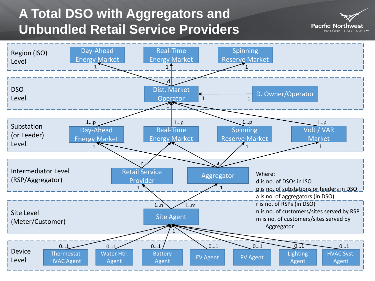## **A Total DSO with Aggregators and Unbundled Retail Service Providers**



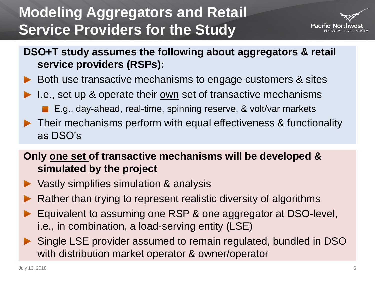## **Modeling Aggregators and Retail Service Providers for the Study**



- **DSO+T study assumes the following about aggregators & retail service providers (RSPs):**
- Both use transactive mechanisms to engage customers & sites
- I.e., set up & operate their <u>own</u> set of transactive mechanisms E.g., day-ahead, real-time, spinning reserve, & volt/var markets
- ▶ Their mechanisms perform with equal effectiveness & functionality as DSO's

#### **Only one set of transactive mechanisms will be developed & simulated by the project**

- ▶ Vastly simplifies simulation & analysis
- Rather than trying to represent realistic diversity of algorithms
- Equivalent to assuming one RSP & one aggregator at DSO-level, i.e., in combination, a load-serving entity (LSE)
- Single LSE provider assumed to remain regulated, bundled in DSO with distribution market operator & owner/operator